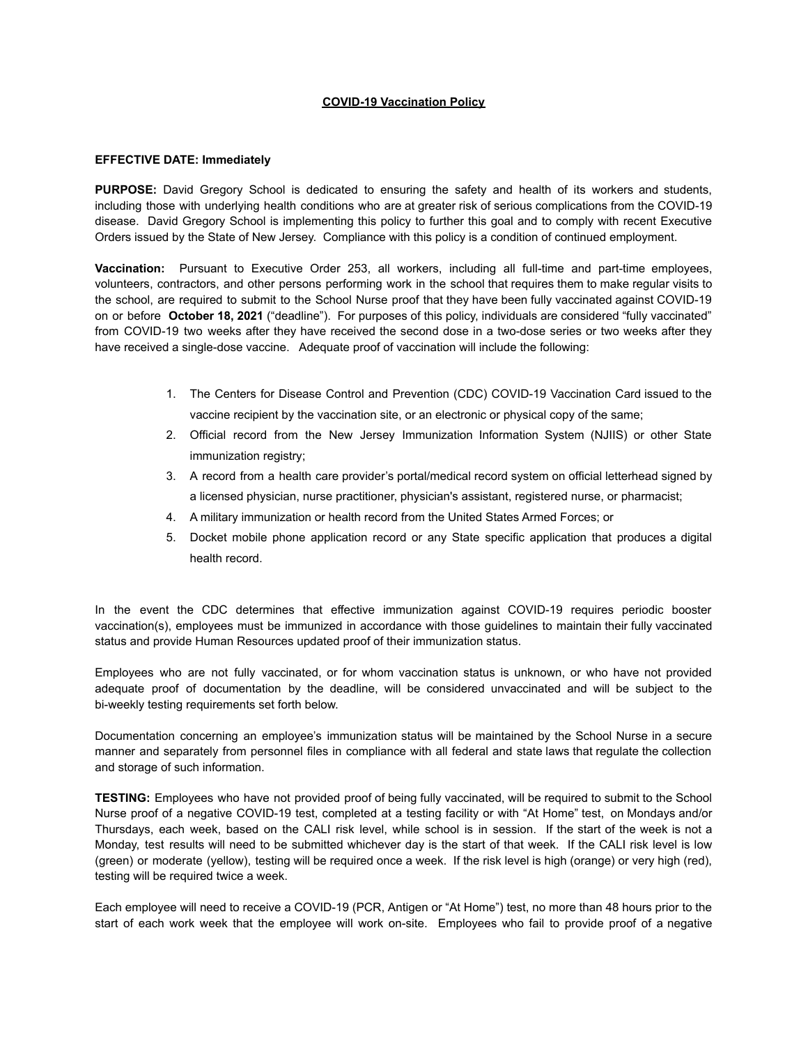## **COVID-19 Vaccination Policy**

## **EFFECTIVE DATE: Immediately**

**PURPOSE:** David Gregory School is dedicated to ensuring the safety and health of its workers and students, including those with underlying health conditions who are at greater risk of serious complications from the COVID-19 disease. David Gregory School is implementing this policy to further this goal and to comply with recent Executive Orders issued by the State of New Jersey. Compliance with this policy is a condition of continued employment.

**Vaccination:** Pursuant to Executive Order 253, all workers, including all full-time and part-time employees, volunteers, contractors, and other persons performing work in the school that requires them to make regular visits to the school, are required to submit to the School Nurse proof that they have been fully vaccinated against COVID-19 on or before **October 18, 2021** ("deadline"). For purposes of this policy, individuals are considered "fully vaccinated" from COVID-19 two weeks after they have received the second dose in a two-dose series or two weeks after they have received a single-dose vaccine. Adequate proof of vaccination will include the following:

- 1. The Centers for Disease Control and Prevention (CDC) COVID-19 Vaccination Card issued to the vaccine recipient by the vaccination site, or an electronic or physical copy of the same;
- 2. Official record from the New Jersey Immunization Information System (NJIIS) or other State immunization registry;
- 3. A record from a health care provider's portal/medical record system on official letterhead signed by a licensed physician, nurse practitioner, physician's assistant, registered nurse, or pharmacist;
- 4. A military immunization or health record from the United States Armed Forces; or
- 5. Docket mobile phone application record or any State specific application that produces a digital health record.

In the event the CDC determines that effective immunization against COVID-19 requires periodic booster vaccination(s), employees must be immunized in accordance with those guidelines to maintain their fully vaccinated status and provide Human Resources updated proof of their immunization status.

Employees who are not fully vaccinated, or for whom vaccination status is unknown, or who have not provided adequate proof of documentation by the deadline, will be considered unvaccinated and will be subject to the bi-weekly testing requirements set forth below.

Documentation concerning an employee's immunization status will be maintained by the School Nurse in a secure manner and separately from personnel files in compliance with all federal and state laws that regulate the collection and storage of such information.

**TESTING:** Employees who have not provided proof of being fully vaccinated, will be required to submit to the School Nurse proof of a negative COVID-19 test, completed at a testing facility or with "At Home" test, on Mondays and/or Thursdays, each week, based on the CALI risk level, while school is in session. If the start of the week is not a Monday, test results will need to be submitted whichever day is the start of that week. If the CALI risk level is low (green) or moderate (yellow), testing will be required once a week. If the risk level is high (orange) or very high (red), testing will be required twice a week.

Each employee will need to receive a COVID-19 (PCR, Antigen or "At Home") test, no more than 48 hours prior to the start of each work week that the employee will work on-site. Employees who fail to provide proof of a negative